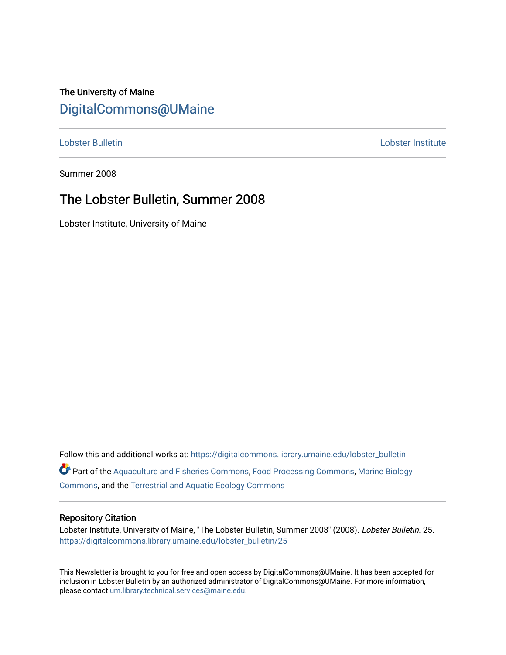# The University of Maine [DigitalCommons@UMaine](https://digitalcommons.library.umaine.edu/)

#### [Lobster Bulletin](https://digitalcommons.library.umaine.edu/lobster_bulletin) [Lobster Institute](https://digitalcommons.library.umaine.edu/lobster)

Summer 2008

## The Lobster Bulletin, Summer 2008

Lobster Institute, University of Maine

Follow this and additional works at: [https://digitalcommons.library.umaine.edu/lobster\\_bulletin](https://digitalcommons.library.umaine.edu/lobster_bulletin?utm_source=digitalcommons.library.umaine.edu%2Flobster_bulletin%2F25&utm_medium=PDF&utm_campaign=PDFCoverPages) Part of the [Aquaculture and Fisheries Commons](http://network.bepress.com/hgg/discipline/78?utm_source=digitalcommons.library.umaine.edu%2Flobster_bulletin%2F25&utm_medium=PDF&utm_campaign=PDFCoverPages), [Food Processing Commons,](http://network.bepress.com/hgg/discipline/85?utm_source=digitalcommons.library.umaine.edu%2Flobster_bulletin%2F25&utm_medium=PDF&utm_campaign=PDFCoverPages) [Marine Biology](http://network.bepress.com/hgg/discipline/1126?utm_source=digitalcommons.library.umaine.edu%2Flobster_bulletin%2F25&utm_medium=PDF&utm_campaign=PDFCoverPages) [Commons](http://network.bepress.com/hgg/discipline/1126?utm_source=digitalcommons.library.umaine.edu%2Flobster_bulletin%2F25&utm_medium=PDF&utm_campaign=PDFCoverPages), and the [Terrestrial and Aquatic Ecology Commons](http://network.bepress.com/hgg/discipline/20?utm_source=digitalcommons.library.umaine.edu%2Flobster_bulletin%2F25&utm_medium=PDF&utm_campaign=PDFCoverPages) 

#### Repository Citation

Lobster Institute, University of Maine, "The Lobster Bulletin, Summer 2008" (2008). Lobster Bulletin. 25. [https://digitalcommons.library.umaine.edu/lobster\\_bulletin/25](https://digitalcommons.library.umaine.edu/lobster_bulletin/25?utm_source=digitalcommons.library.umaine.edu%2Flobster_bulletin%2F25&utm_medium=PDF&utm_campaign=PDFCoverPages) 

This Newsletter is brought to you for free and open access by DigitalCommons@UMaine. It has been accepted for inclusion in Lobster Bulletin by an authorized administrator of DigitalCommons@UMaine. For more information, please contact [um.library.technical.services@maine.edu.](mailto:um.library.technical.services@maine.edu)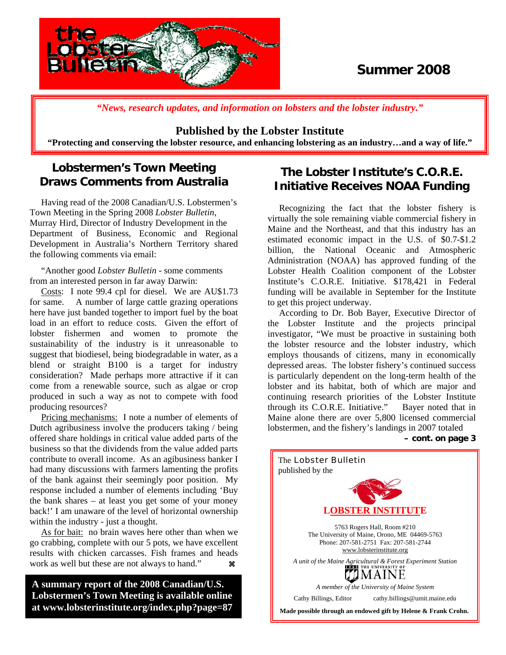

# **Summer 2008**

*"News, research updates, and information on lobsters and the lobster industry."*

#### **Published by the Lobster Institute**

**"Protecting and conserving the lobster resource, and enhancing lobstering as an industry…and a way of life."** 

## **Lobstermen's Town Meeting Draws Comments from Australia**

 Having read of the 2008 Canadian/U.S. Lobstermen's Town Meeting in the Spring 2008 *Lobster Bulletin*, Murray Hird, Director of Industry Development in the Department of Business, Economic and Regional Development in Australia's Northern Territory shared the following comments via email:

 "Another good *Lobster Bulletin* - some comments from an interested person in far away Darwin:

 Costs: I note 99.4 cpl for diesel. We are AU\$1.73 for same. A number of large cattle grazing operations here have just banded together to import fuel by the boat load in an effort to reduce costs. Given the effort of lobster fishermen and women to promote the sustainability of the industry is it unreasonable to suggest that biodiesel, being biodegradable in water, as a blend or straight B100 is a target for industry consideration? Made perhaps more attractive if it can come from a renewable source, such as algae or crop produced in such a way as not to compete with food producing resources?

 Pricing mechanisms: I note a number of elements of Dutch agribusiness involve the producers taking / being offered share holdings in critical value added parts of the business so that the dividends from the value added parts contribute to overall income. As an agibusiness banker I had many discussions with farmers lamenting the profits of the bank against their seemingly poor position. My response included a number of elements including 'Buy the bank shares – at least you get some of your money back!' I am unaware of the level of horizontal ownership within the industry - just a thought.

 As for bait: no brain waves here other than when we go crabbing, complete with our 5 pots, we have excellent results with chicken carcasses. Fish frames and heads work as well but these are not always to hand."  $\mathcal{R}$ 

**A summary report of the 2008 Canadian/U.S. Lobstermen's Town Meeting is available online at www.lobsterinstitute.org/index.php?page=87**

j

## **The Lobster Institute's C.O.R.E. Initiative Receives NOAA Funding**

 Recognizing the fact that the lobster fishery is virtually the sole remaining viable commercial fishery in Maine and the Northeast, and that this industry has an estimated economic impact in the U.S. of \$0.7-\$1.2 billion, the National Oceanic and Atmospheric Administration (NOAA) has approved funding of the Lobster Health Coalition component of the Lobster Institute's C.O.R.E. Initiative. \$178,421 in Federal funding will be available in September for the Institute to get this project underway.

 According to Dr. Bob Bayer, Executive Director of the Lobster Institute and the projects principal investigator, "We must be proactive in sustaining both the lobster resource and the lobster industry, which employs thousands of citizens, many in economically depressed areas. The lobster fishery's continued success is particularly dependent on the long-term health of the lobster and its habitat, both of which are major and continuing research priorities of the Lobster Institute through its C.O.R.E. Initiative." Bayer noted that in Maine alone there are over 5,800 licensed commercial lobstermen, and the fishery's landings in 2007 totaled

**– cont. on page 3**

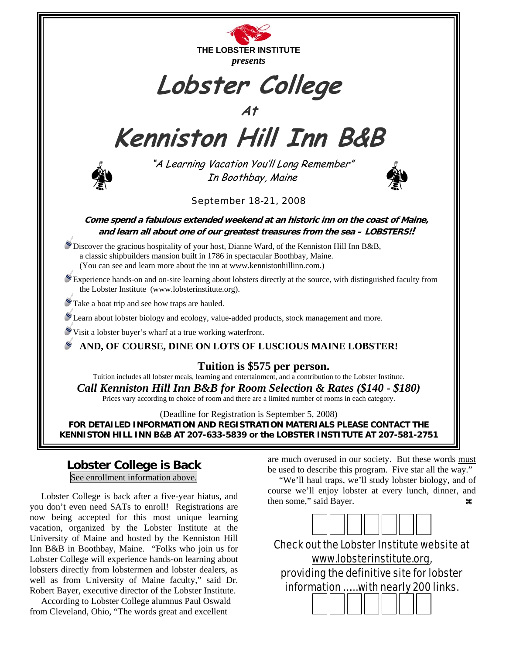

#### **Lobster College is Back**

See enrollment information above.

 Lobster College is back after a five-year hiatus, and you don't even need SATs to enroll! Registrations are now being accepted for this most unique learning vacation, organized by the Lobster Institute at the University of Maine and hosted by the Kenniston Hill Inn B&B in Boothbay, Maine. "Folks who join us for Lobster College will experience hands-on learning about lobsters directly from lobstermen and lobster dealers, as well as from University of Maine faculty," said Dr. Robert Bayer, executive director of the Lobster Institute.

 According to Lobster College alumnus Paul Oswald from Cleveland, Ohio, "The words great and excellent

are much overused in our society. But these words must be used to describe this program. Five star all the way."

 "We'll haul traps, we'll study lobster biology, and of course we'll enjoy lobster at every lunch, dinner, and then some," said Bayer. **a a** 



Check out the Lobster Institute website at www.lobsterinstitute.org, providing the definitive site for lobster information …… with nearly 200 links.

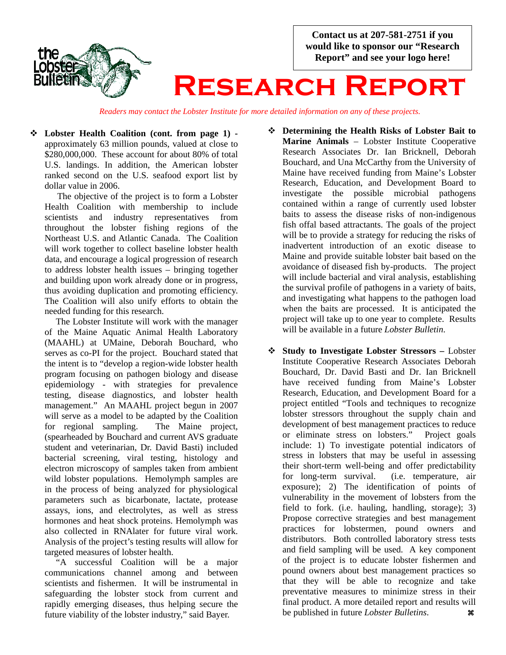**Contact us at 207-581-2751 if you would like to sponsor our "Research Report" and see your logo here!** 



# **Research Report**

*Readers may contact the Lobster Institute for more detailed information on any of these projects.*

 **Lobster Health Coalition (cont. from page 1)**  approximately 63 million pounds, valued at close to \$280,000,000. These account for about 80% of total U.S. landings. In addition, the American lobster ranked second on the U.S. seafood export list by dollar value in 2006.

The objective of the project is to form a Lobster Health Coalition with membership to include scientists and industry representatives from throughout the lobster fishing regions of the Northeast U.S. and Atlantic Canada. The Coalition will work together to collect baseline lobster health data, and encourage a logical progression of research to address lobster health issues – bringing together and building upon work already done or in progress, thus avoiding duplication and promoting efficiency. The Coalition will also unify efforts to obtain the needed funding for this research.

 The Lobster Institute will work with the manager of the Maine Aquatic Animal Health Laboratory (MAAHL) at UMaine, Deborah Bouchard, who serves as co-PI for the project. Bouchard stated that the intent is to "develop a region-wide lobster health program focusing on pathogen biology and disease epidemiology - with strategies for prevalence testing, disease diagnostics, and lobster health management." An MAAHL project begun in 2007 will serve as a model to be adapted by the Coalition for regional sampling. The Maine project, (spearheaded by Bouchard and current AVS graduate student and veterinarian, Dr. David Basti) included bacterial screening, viral testing, histology and electron microscopy of samples taken from ambient wild lobster populations. Hemolymph samples are in the process of being analyzed for physiological parameters such as bicarbonate, lactate, protease assays, ions, and electrolytes, as well as stress hormones and heat shock proteins. Hemolymph was also collected in RNAlater for future viral work. Analysis of the project's testing results will allow for targeted measures of lobster health.

 "A successful Coalition will be a major communications channel among and between scientists and fishermen. It will be instrumental in safeguarding the lobster stock from current and rapidly emerging diseases, thus helping secure the future viability of the lobster industry," said Bayer.

- **Determining the Health Risks of Lobster Bait to Marine Animals** – Lobster Institute Cooperative Research Associates Dr. Ian Bricknell, Deborah Bouchard, and Una McCarthy from the University of Maine have received funding from Maine's Lobster Research, Education, and Development Board to investigate the possible microbial pathogens contained within a range of currently used lobster baits to assess the disease risks of non-indigenous fish offal based attractants. The goals of the project will be to provide a strategy for reducing the risks of inadvertent introduction of an exotic disease to Maine and provide suitable lobster bait based on the avoidance of diseased fish by-products. The project will include bacterial and viral analysis, establishing the survival profile of pathogens in a variety of baits, and investigating what happens to the pathogen load when the baits are processed. It is anticipated the project will take up to one year to complete. Results will be available in a future *Lobster Bulletin*.
- **Study to Investigate Lobster Stressors** Lobster Institute Cooperative Research Associates Deborah Bouchard, Dr. David Basti and Dr. Ian Bricknell have received funding from Maine's Lobster Research, Education, and Development Board for a project entitled "Tools and techniques to recognize lobster stressors throughout the supply chain and development of best management practices to reduce or eliminate stress on lobsters." Project goals include: 1) To investigate potential indicators of stress in lobsters that may be useful in assessing their short-term well-being and offer predictability for long-term survival. (i.e. temperature, air exposure); 2) The identification of points of vulnerability in the movement of lobsters from the field to fork. (i.e. hauling, handling, storage); 3) Propose corrective strategies and best management practices for lobstermen, pound owners and distributors. Both controlled laboratory stress tests and field sampling will be used. A key component of the project is to educate lobster fishermen and pound owners about best management practices so that they will be able to recognize and take preventative measures to minimize stress in their final product. A more detailed report and results will be published in future *Lobster Bulletins*. a